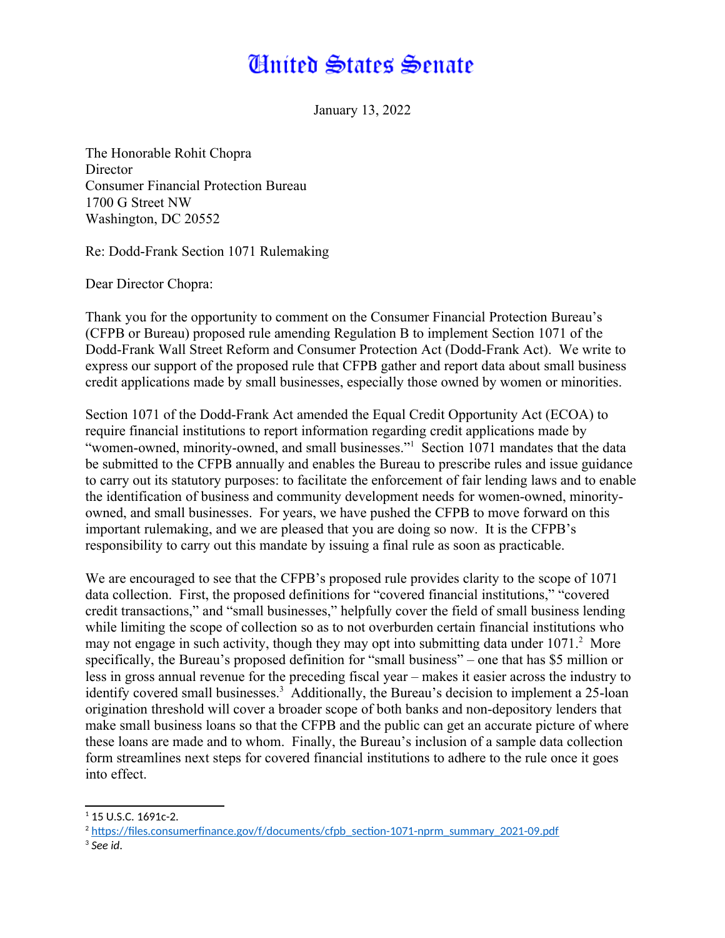## **Huited States Senate**

January 13, 2022

The Honorable Rohit Chopra **Director** Consumer Financial Protection Bureau 1700 G Street NW Washington, DC 20552

Re: Dodd-Frank Section 1071 Rulemaking

Dear Director Chopra:

Thank you for the opportunity to comment on the Consumer Financial Protection Bureau's (CFPB or Bureau) proposed rule amending Regulation B to implement Section 1071 of the Dodd-Frank Wall Street Reform and Consumer Protection Act (Dodd-Frank Act). We write to express our support of the proposed rule that CFPB gather and report data about small business credit applications made by small businesses, especially those owned by women or minorities.

<span id="page-0-0"></span>Section 1071 of the Dodd-Frank Act amended the Equal Credit Opportunity Act (ECOA) to require financial institutions to report information regarding credit applications made by "women-owned, minority-owned, and small businesses."[1](#page-0-1) Section 1071 mandates that the data be submitted to the CFPB annually and enables the Bureau to prescribe rules and issue guidance to carry out its statutory purposes: to facilitate the enforcement of fair lending laws and to enable the identification of business and community development needs for women-owned, minorityowned, and small businesses. For years, we have pushed the CFPB to move forward on this important rulemaking, and we are pleased that you are doing so now. It is the CFPB's responsibility to carry out this mandate by issuing a final rule as soon as practicable.

<span id="page-0-4"></span><span id="page-0-2"></span>We are encouraged to see that the CFPB's proposed rule provides clarity to the scope of 1071 data collection. First, the proposed definitions for "covered financial institutions," "covered credit transactions," and "small businesses," helpfully cover the field of small business lending while limiting the scope of collection so as to not overburden certain financial institutions who may not engage in such activity, though they may opt into submitting data under  $1071<sup>2</sup>$  $1071<sup>2</sup>$  $1071<sup>2</sup>$  More specifically, the Bureau's proposed definition for "small business" – one that has \$5 million or less in gross annual revenue for the preceding fiscal year – makes it easier across the industry to identify covered small businesses.<sup>[3](#page-0-5)</sup> Additionally, the Bureau's decision to implement a 25-loan origination threshold will cover a broader scope of both banks and non-depository lenders that make small business loans so that the CFPB and the public can get an accurate picture of where these loans are made and to whom. Finally, the Bureau's inclusion of a sample data collection form streamlines next steps for covered financial institutions to adhere to the rule once it goes into effect.

<span id="page-0-1"></span> $1$  15 U.S.C. 1691c-2.

<span id="page-0-3"></span><sup>&</sup>lt;sup>[2](#page-0-2)</sup> [https://files.consumerfinance.gov/f/documents/cfpb\\_section-1071-nprm\\_summary\\_2021-09.pdf](https://files.consumerfinance.gov/f/documents/cfpb_section-1071-nprm_summary_2021-09.pdf)

<span id="page-0-5"></span>[<sup>3</sup>](#page-0-4) *See id*.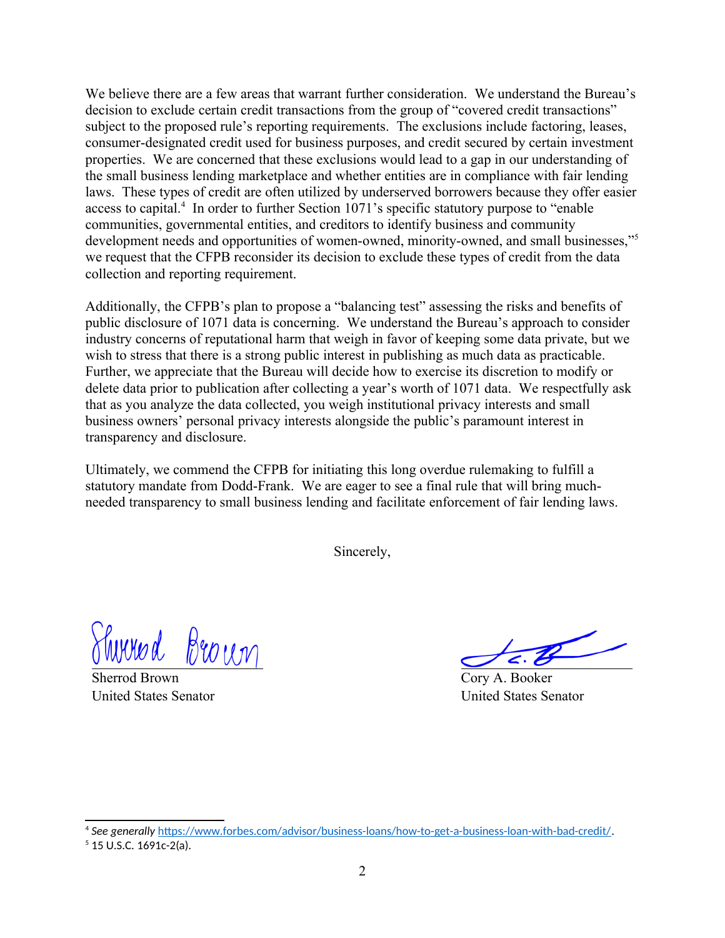We believe there are a few areas that warrant further consideration. We understand the Bureau's decision to exclude certain credit transactions from the group of "covered credit transactions" subject to the proposed rule's reporting requirements. The exclusions include factoring, leases, consumer-designated credit used for business purposes, and credit secured by certain investment properties. We are concerned that these exclusions would lead to a gap in our understanding of the small business lending marketplace and whether entities are in compliance with fair lending laws. These types of credit are often utilized by underserved borrowers because they offer easier access to capital.<sup>[4](#page-1-1)</sup> In order to further Section 1071's specific statutory purpose to "enable" communities, governmental entities, and creditors to identify business and community development needs and opportunities of women-owned, minority-owned, and small businesses,"<sup>[5](#page-1-3)</sup> we request that the CFPB reconsider its decision to exclude these types of credit from the data collection and reporting requirement.

<span id="page-1-0"></span>Additionally, the CFPB's plan to propose a "balancing test" assessing the risks and benefits of public disclosure of 1071 data is concerning. We understand the Bureau's approach to consider industry concerns of reputational harm that weigh in favor of keeping some data private, but we wish to stress that there is a strong public interest in publishing as much data as practicable. Further, we appreciate that the Bureau will decide how to exercise its discretion to modify or delete data prior to publication after collecting a year's worth of 1071 data. We respectfully ask that as you analyze the data collected, you weigh institutional privacy interests and small business owners' personal privacy interests alongside the public's paramount interest in transparency and disclosure.

Ultimately, we commend the CFPB for initiating this long overdue rulemaking to fulfill a statutory mandate from Dodd-Frank. We are eager to see a final rule that will bring muchneeded transparency to small business lending and facilitate enforcement of fair lending laws.

Sincerely,

Thirred Broun

Sherrod Brown United States Senator

<span id="page-1-2"></span>

Cory A. Booker United States Senator

<span id="page-1-1"></span>[<sup>4</sup>](#page-1-0) *See generally* [https://www.forbes.com/advisor/business-loans/how-to-get-a-business-loan-with-bad-credit/.](https://www.forbes.com/advisor/business-loans/how-to-get-a-business-loan-with-bad-credit/)

<span id="page-1-3"></span> $5$  15 U.S.C. 1691c-2(a).